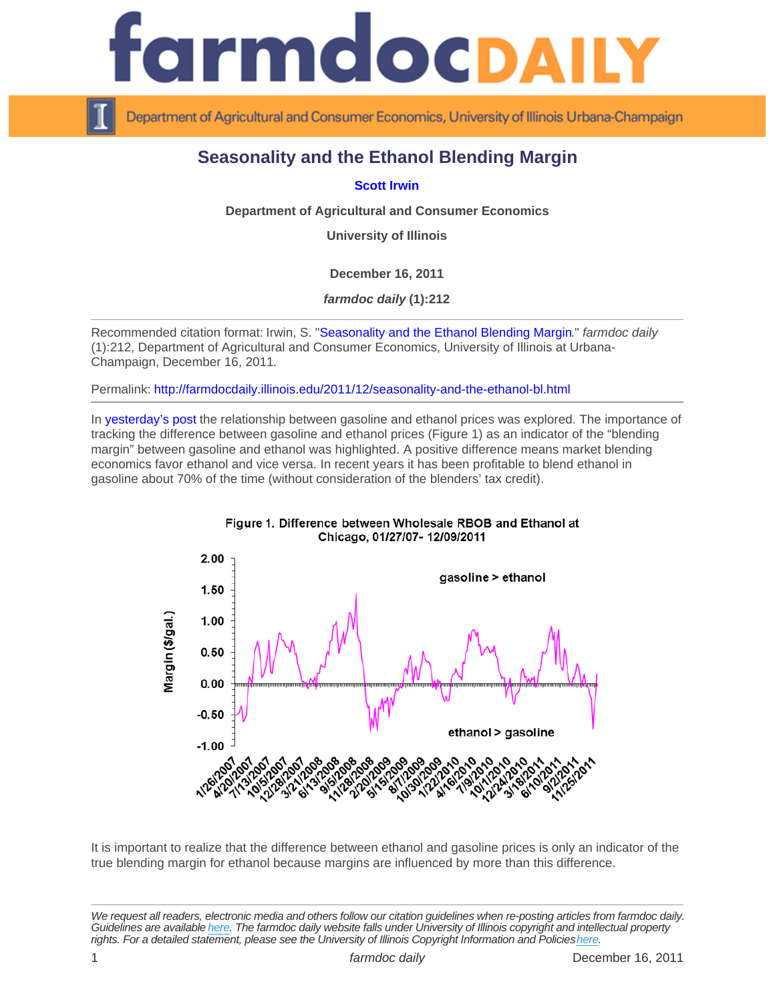## Seasonality and the Ethanol Blending Margin

## [Scott Irwin](http://www.farmdoc.illinois.edu/irwin/)

Department of Agricultural and Consumer Economics

University of Illinois

December 16, 2011

farmdoc daily (1):212

Recommended citation format: Irwin, S. "[Seasonality and the Ethanol Blending Margin](http://farmdocdaily.illinois.edu/2011/12/seasonality-and-the-ethanol-bl.html)." farmdoc daily (1):212, Department of Agricultural and Consumer Economics, University of Illinois at Urbana-Champaign, December 16, 2011.

Permalink:<http://farmdocdaily.illinois.edu/2011/12/seasonality-and-the-ethanol-bl.html>

In [yesterday's post](http://farmdocdaily.illinois.edu/2011/12/trends_in_gasoline_and_ethanol.html) the relationship between gasoline and ethanol prices was explored. The importance of tracking the difference between gasoline and ethanol prices (Figure 1) as an indicator of the "blending margin" between gasoline and ethanol was highlighted. A positive difference means market blending economics favor ethanol and vice versa. In recent years it has been profitable to blend ethanol in gasoline about 70% of the time (without consideration of the blenders' tax credit).

It is important to realize that the difference between ethanol and gasoline prices is only an indicator of the true blending margin for ethanol because margins are influenced by more than this difference.

We request all readers, electronic media and others follow our citation guidelines when re-posting articles from farmdoc daily. Guidelines are available [here](http://farmdocdaily.illinois.edu/citationguide.html). The farmdoc daily website falls under University of Illinois copyright and intellectual property rights. For a detailed statement, please see the University of Illinois Copyright Information and Policies [here.](https://techservices.illinois.edu/office-cio)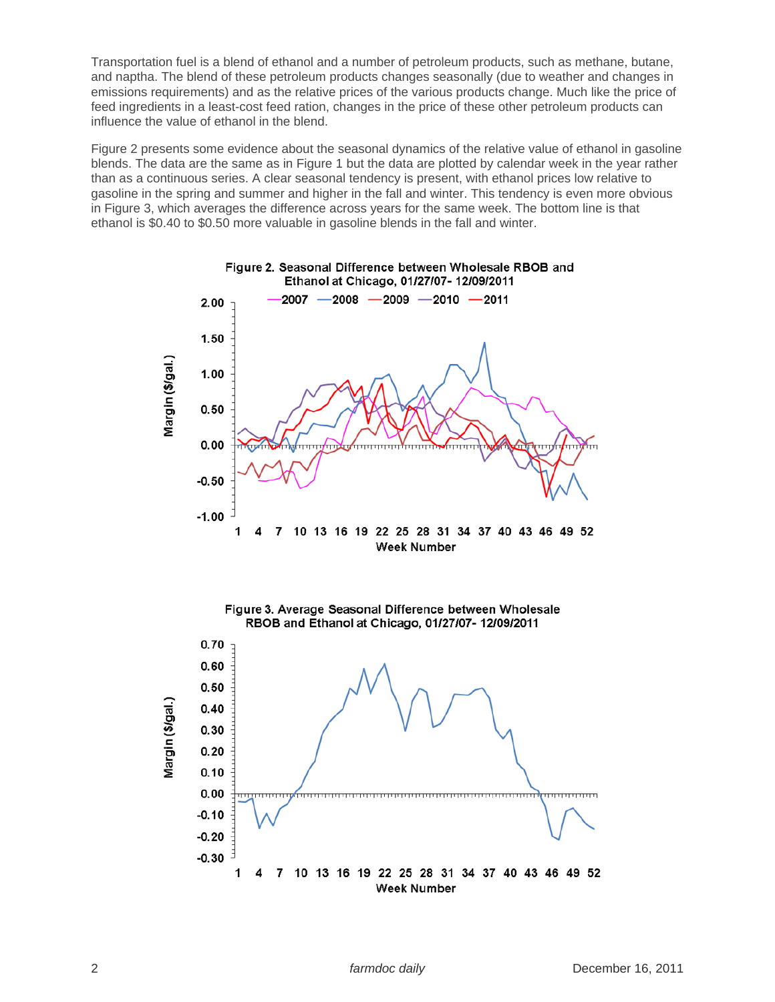Transportation fuel is a blend of ethanol and a number of petroleum products, such as methane, butane, and naptha. The blend of these petroleum products changes seasonally (due to weather and changes in emissions requirements) and as the relative prices of the various products change. Much like the price of feed ingredients in a least-cost feed ration, changes in the price of these other petroleum products can influence the value of ethanol in the blend.

Figure 2 presents some evidence about the seasonal dynamics of the relative value of ethanol in gasoline blends. The data are the same as in Figure 1 but the data are plotted by calendar week in the year rather than as a continuous series. A clear seasonal tendency is present, with ethanol prices low relative to gasoline in the spring and summer and higher in the fall and winter. This tendency is even more obvious in Figure 3, which averages the difference across years for the same week. The bottom line is that ethanol is \$0.40 to \$0.50 more valuable in gasoline blends in the fall and winter.